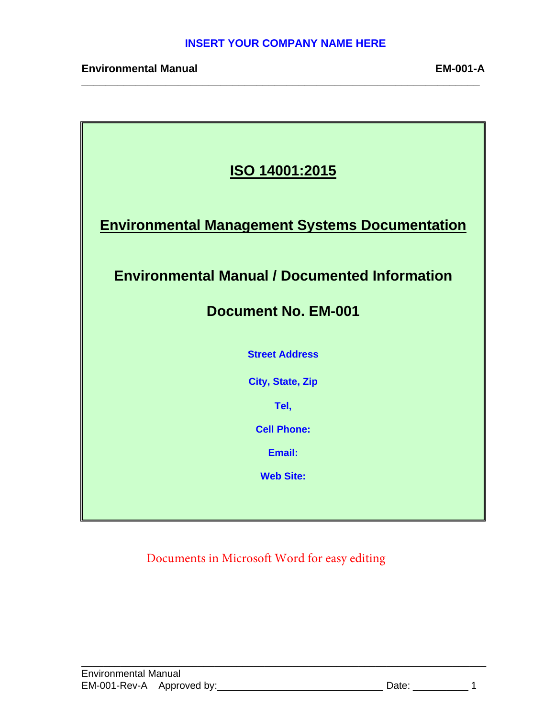**\_\_\_\_\_\_\_\_\_\_\_\_\_\_\_\_\_\_\_\_\_\_\_\_\_\_\_\_\_\_\_\_\_\_\_\_\_\_\_\_\_\_\_\_\_\_\_\_\_\_\_\_\_\_\_\_\_\_\_\_\_\_\_\_\_\_** 

| ISO 14001:2015                                        |  |  |  |  |  |  |
|-------------------------------------------------------|--|--|--|--|--|--|
| <b>Environmental Management Systems Documentation</b> |  |  |  |  |  |  |
| <b>Environmental Manual / Documented Information</b>  |  |  |  |  |  |  |
| <b>Document No. EM-001</b>                            |  |  |  |  |  |  |
| <b>Street Address</b>                                 |  |  |  |  |  |  |
| <b>City, State, Zip</b>                               |  |  |  |  |  |  |
| Tel,                                                  |  |  |  |  |  |  |
| <b>Cell Phone:</b>                                    |  |  |  |  |  |  |
| Email:                                                |  |  |  |  |  |  |
| <b>Web Site:</b>                                      |  |  |  |  |  |  |
|                                                       |  |  |  |  |  |  |

Documents in Microsoft Word for easy editing

\_\_\_\_\_\_\_\_\_\_\_\_\_\_\_\_\_\_\_\_\_\_\_\_\_\_\_\_\_\_\_\_\_\_\_\_\_\_\_\_\_\_\_\_\_\_\_\_\_\_\_\_\_\_\_\_\_\_\_\_\_\_\_\_\_\_\_\_\_\_\_\_\_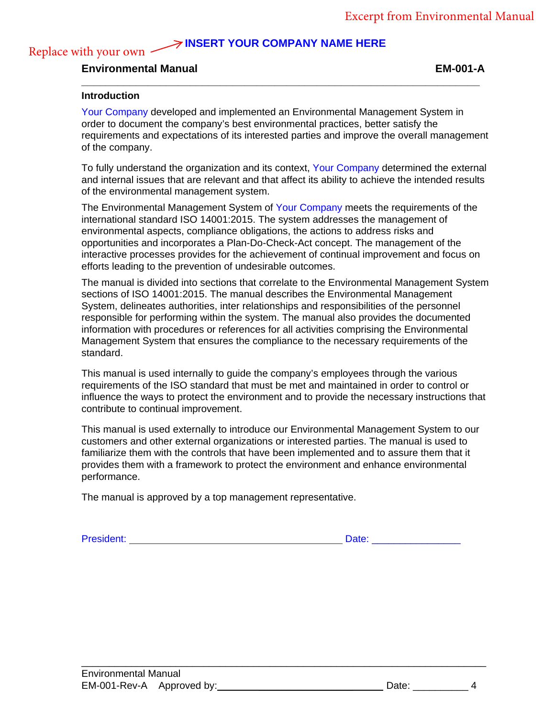## **INSERT YOUR COMPANY NAME HERE**

**\_\_\_\_\_\_\_\_\_\_\_\_\_\_\_\_\_\_\_\_\_\_\_\_\_\_\_\_\_\_\_\_\_\_\_\_\_\_\_\_\_\_\_\_\_\_\_\_\_\_\_\_\_\_\_\_\_\_\_\_\_\_\_\_\_\_** 

# **Environmental Manual EM-001-A**

#### **Introduction**

Replace with your own -

Your Company developed and implemented an Environmental Management System in order to document the company's best environmental practices, better satisfy the requirements and expectations of its interested parties and improve the overall management of the company.

To fully understand the organization and its context, Your Company determined the external and internal issues that are relevant and that affect its ability to achieve the intended results of the environmental management system.

The Environmental Management System of Your Company meets the requirements of the international standard ISO 14001:2015. The system addresses the management of environmental aspects, compliance obligations, the actions to address risks and opportunities and incorporates a Plan-Do-Check-Act concept. The management of the interactive processes provides for the achievement of continual improvement and focus on efforts leading to the prevention of undesirable outcomes.

The manual is divided into sections that correlate to the Environmental Management System sections of ISO 14001:2015. The manual describes the Environmental Management System, delineates authorities, inter relationships and responsibilities of the personnel responsible for performing within the system. The manual also provides the documented information with procedures or references for all activities comprising the Environmental Management System that ensures the compliance to the necessary requirements of the standard.

This manual is used internally to guide the company's employees through the various requirements of the ISO standard that must be met and maintained in order to control or influence the ways to protect the environment and to provide the necessary instructions that contribute to continual improvement.

This manual is used externally to introduce our Environmental Management System to our customers and other external organizations or interested parties. The manual is used to familiarize them with the controls that have been implemented and to assure them that it provides them with a framework to protect the environment and enhance environmental performance.

\_\_\_\_\_\_\_\_\_\_\_\_\_\_\_\_\_\_\_\_\_\_\_\_\_\_\_\_\_\_\_\_\_\_\_\_\_\_\_\_\_\_\_\_\_\_\_\_\_\_\_\_\_\_\_\_\_\_\_\_\_\_\_\_\_\_\_\_\_\_\_\_\_

The manual is approved by a top management representative.

President: 2000 and 2000 and 2000 and 2000 and 2000 and 2000 and 2000 and 2000 and 2000 and 2000 and 2000 and 2000 and 2000 and 2000 and 2000 and 2000 and 2000 and 2000 and 2000 and 2000 and 2000 and 2000 and 2000 and 2000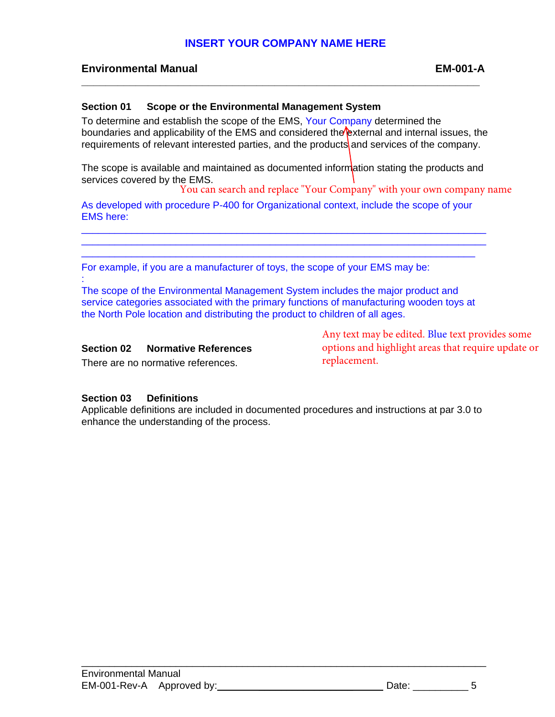**\_\_\_\_\_\_\_\_\_\_\_\_\_\_\_\_\_\_\_\_\_\_\_\_\_\_\_\_\_\_\_\_\_\_\_\_\_\_\_\_\_\_\_\_\_\_\_\_\_\_\_\_\_\_\_\_\_\_\_\_\_\_\_\_\_\_** 

# **Environmental Manual EM-001-A**

### **Section 01 Scope or the Environmental Management System**

To determine and establish the scope of the EMS, Your Company determined the boundaries and applicability of the EMS and considered the external and internal issues, the requirements of relevant interested parties, and the products and services of the company.

The scope is available and maintained as documented information stating the products and services covered by the EMS.

You can search and replace "Your Company" with your own company name

As developed with procedure P-400 for Organizational context, include the scope of your EMS here:

\_\_\_\_\_\_\_\_\_\_\_\_\_\_\_\_\_\_\_\_\_\_\_\_\_\_\_\_\_\_\_\_\_\_\_\_\_\_\_\_\_\_\_\_\_\_\_\_\_\_\_\_\_\_\_\_\_\_\_\_\_\_\_\_\_\_\_\_\_\_\_\_\_ \_\_\_\_\_\_\_\_\_\_\_\_\_\_\_\_\_\_\_\_\_\_\_\_\_\_\_\_\_\_\_\_\_\_\_\_\_\_\_\_\_\_\_\_\_\_\_\_\_\_\_\_\_\_\_\_\_\_\_\_\_\_\_\_\_\_\_\_\_\_\_\_\_ \_\_\_\_\_\_\_\_\_\_\_\_\_\_\_\_\_\_\_\_\_\_\_\_\_\_\_\_\_\_\_\_\_\_\_\_\_\_\_\_\_\_\_\_\_\_\_\_\_\_\_\_\_\_\_\_\_\_\_\_\_\_\_\_\_\_\_\_\_\_\_

For example, if you are a manufacturer of toys, the scope of your EMS may be:

: The scope of the Environmental Management System includes the major product and service categories associated with the primary functions of manufacturing wooden toys at the North Pole location and distributing the product to children of all ages.

#### **Section 02 Normative References**

There are no normative references.

Any text may be edited. Blue text provides some options and highlight areas that require update or replacement.

### **Section 03 Definitions**

Applicable definitions are included in documented procedures and instructions at par 3.0 to enhance the understanding of the process.

\_\_\_\_\_\_\_\_\_\_\_\_\_\_\_\_\_\_\_\_\_\_\_\_\_\_\_\_\_\_\_\_\_\_\_\_\_\_\_\_\_\_\_\_\_\_\_\_\_\_\_\_\_\_\_\_\_\_\_\_\_\_\_\_\_\_\_\_\_\_\_\_\_